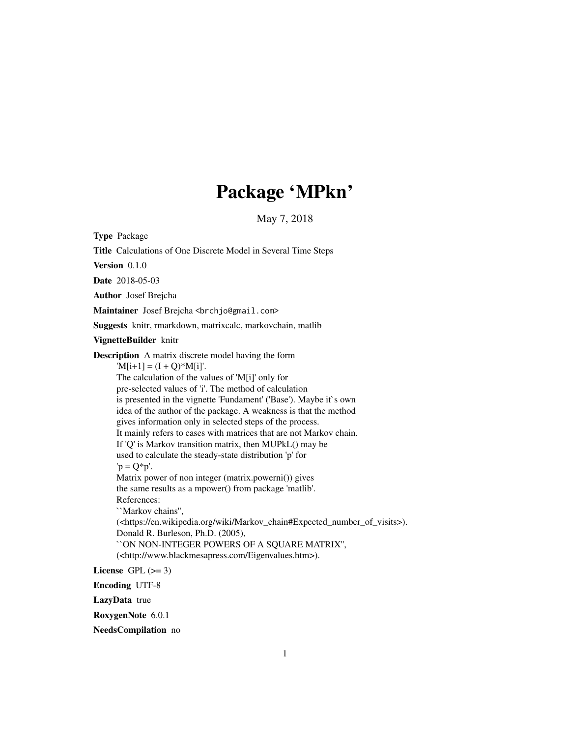## Package 'MPkn'

May 7, 2018

Type Package Title Calculations of One Discrete Model in Several Time Steps Version 0.1.0 Date 2018-05-03 Author Josef Brejcha Maintainer Josef Brejcha <br/>brchjo@gmail.com> Suggests knitr, rmarkdown, matrixcalc, markovchain, matlib VignetteBuilder knitr Description A matrix discrete model having the form  $'M[i+1] = (I + Q)*M[i]'.$ The calculation of the values of 'M[i]' only for pre-selected values of 'i'. The method of calculation is presented in the vignette 'Fundament' ('Base'). Maybe it`s own idea of the author of the package. A weakness is that the method gives information only in selected steps of the process. It mainly refers to cases with matrices that are not Markov chain. If 'Q' is Markov transition matrix, then MUPkL() may be used to calculate the steady-state distribution 'p' for  $'p = Q^*p'.$ Matrix power of non integer (matrix.powerni()) gives the same results as a mpower() from package 'matlib'. References: ``Markov chains'', (<https://en.wikipedia.org/wiki/Markov\_chain#Expected\_number\_of\_visits>). Donald R. Burleson, Ph.D. (2005), ``ON NON-INTEGER POWERS OF A SQUARE MATRIX'', (<http://www.blackmesapress.com/Eigenvalues.htm>). License GPL  $(>= 3)$ Encoding UTF-8 LazyData true RoxygenNote 6.0.1

NeedsCompilation no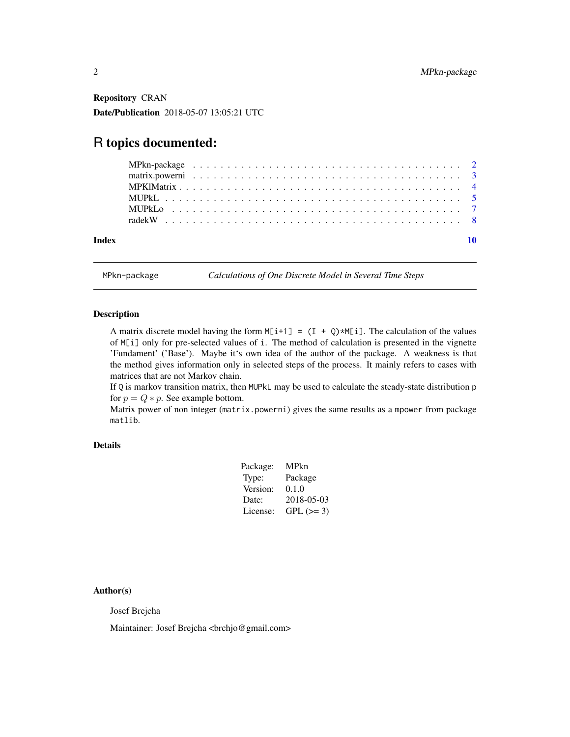<span id="page-1-0"></span>Repository CRAN Date/Publication 2018-05-07 13:05:21 UTC

## R topics documented:

| Index |  |  |  |  |  |  |  |  |  |  |  |  |  |  |  |  |  |  |  |  |
|-------|--|--|--|--|--|--|--|--|--|--|--|--|--|--|--|--|--|--|--|--|
|       |  |  |  |  |  |  |  |  |  |  |  |  |  |  |  |  |  |  |  |  |
|       |  |  |  |  |  |  |  |  |  |  |  |  |  |  |  |  |  |  |  |  |
|       |  |  |  |  |  |  |  |  |  |  |  |  |  |  |  |  |  |  |  |  |
|       |  |  |  |  |  |  |  |  |  |  |  |  |  |  |  |  |  |  |  |  |
|       |  |  |  |  |  |  |  |  |  |  |  |  |  |  |  |  |  |  |  |  |
|       |  |  |  |  |  |  |  |  |  |  |  |  |  |  |  |  |  |  |  |  |

MPkn-package *Calculations of One Discrete Model in Several Time Steps*

#### Description

A matrix discrete model having the form  $M[i+1] = (I + Q) * M[i]$ . The calculation of the values of M[i] only for pre-selected values of i. The method of calculation is presented in the vignette 'Fundament' ('Base'). Maybe it's own idea of the author of the package. A weakness is that the method gives information only in selected steps of the process. It mainly refers to cases with matrices that are not Markov chain.

If Q is markov transition matrix, then MUPkL may be used to calculate the steady-state distribution p for  $p = Q * p$ . See example bottom.

Matrix power of non integer (matrix.powerni) gives the same results as a mpower from package matlib.

## Details

| Package: | MPkn       |
|----------|------------|
| Type:    | Package    |
| Version: | 0.1.0      |
| Date:    | 2018-05-03 |
| License: | $GPL (=3)$ |

Author(s)

Josef Brejcha

Maintainer: Josef Brejcha <br/> <br/> <br/> <br/> <br/> <br/>@gmail.com>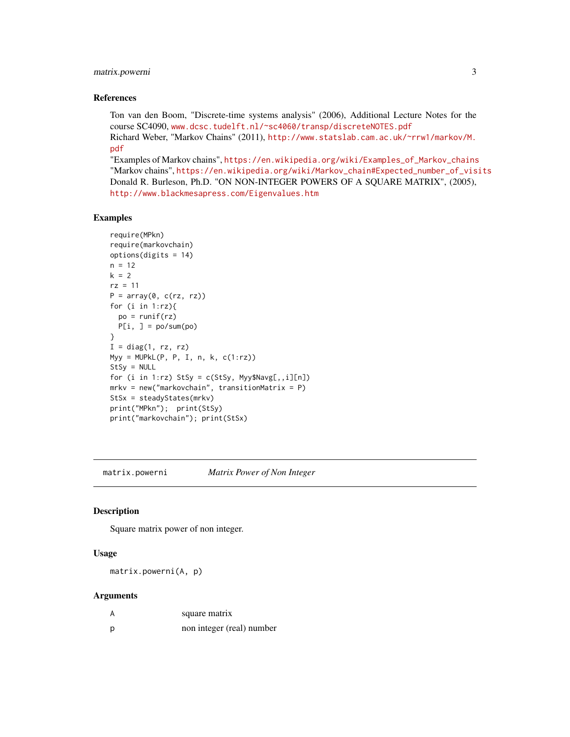## <span id="page-2-0"></span>matrix.powerni 3

#### References

Ton van den Boom, "Discrete-time systems analysis" (2006), Additional Lecture Notes for the course SC4090, <www.dcsc.tudelft.nl/~sc4060/transp/discreteNOTES.pdf> Richard Weber, "Markov Chains" (2011), [http://www.statslab.cam.ac.uk/~rrw1/markov/M.](http://www.statslab.cam.ac.uk/~rrw1/markov/M.pdf) [pdf](http://www.statslab.cam.ac.uk/~rrw1/markov/M.pdf)

"Examples of Markov chains", [https://en.wikipedia.org/wiki/Examples\\_of\\_Markov\\_chains](https://en.wikipedia.org/wiki/Examples_of_Markov_chains) "Markov chains", [https://en.wikipedia.org/wiki/Markov\\_chain#Expected\\_number\\_of\\_visits](https://en.wikipedia.org/wiki/Markov_chain#Expected_number_of_visits) Donald R. Burleson, Ph.D. "ON NON-INTEGER POWERS OF A SQUARE MATRIX", (2005), <http://www.blackmesapress.com/Eigenvalues.htm>

#### Examples

```
require(MPkn)
require(markovchain)
options(digits = 14)
n = 12k = 2rz = 11
P = array(0, c(rz, rz))for (i in 1:rz){
  po = runif(rz)P[i, ] = po/sum(po)}
I = diag(1, rz, rz)Myy = MUPkL(P, P, I, n, k, c(1:rz))StSy = NULL
for (i in 1:rz) StSy = c(StSy, Myy$Navg[, , i][n])mrkv = new("markovchain", transitionMatrix = P)StSx = steadyStates(mrkv)
print("MPkn"); print(StSy)
print("markovchain"); print(StSx)
```
matrix.powerni *Matrix Power of Non Integer*

### Description

Square matrix power of non integer.

#### Usage

matrix.powerni(A, p)

#### Arguments

|   | square matrix             |
|---|---------------------------|
| p | non integer (real) number |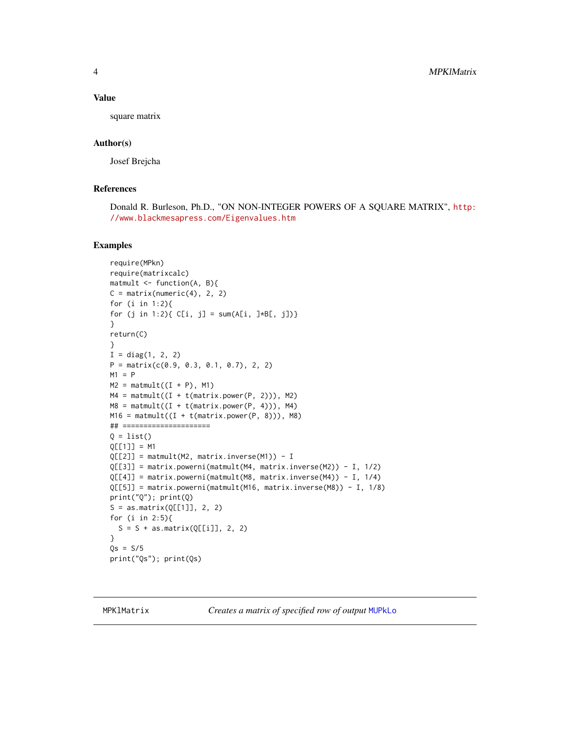<span id="page-3-0"></span>4 MPKlMatrix

#### Value

square matrix

## Author(s)

Josef Brejcha

## References

Donald R. Burleson, Ph.D., "ON NON-INTEGER POWERS OF A SQUARE MATRIX", [http:](http://www.blackmesapress.com/Eigenvalues.htm) [//www.blackmesapress.com/Eigenvalues.htm](http://www.blackmesapress.com/Eigenvalues.htm)

## Examples

```
require(MPkn)
require(matrixcalc)
matmult <- function(A, B){
C = matrix(numeric(4), 2, 2)for (i in 1:2){
for (j in 1:2){ C[i, j] = sum(A[i, j * B[, j])}
}
return(C)
}
I = diag(1, 2, 2)P = matrix(c(0.9, 0.3, 0.1, 0.7), 2, 2)M1 = PM2 = \text{matmult}((I + P), M1)M4 = \text{matmult}((I + t(\text{matrix.power}(P, 2)))), M2)
MS = \text{matmult}((I + t(\text{matrix.power}(P, 4))), M4)M16 = \text{matmult}((I + t(\text{matrix.power}(P, 8)))), M8)
## =====================
Q = list()Q[[1]] = M1Q[[2]] = \text{matmult}(M2, \text{ matrix.inverse}(M1)) - IQ[[3]] = matrix.powerni(matmult(M4, matrix.inverse(M2)) - I, 1/2)
Q[[4]] = matrix.powerni(matmult(M8, matrix.inverse(M4)) - I, 1/4)
Q[[5]] = matrix.powerni(matmult(M16, matrix.inverse(M8)) - I, 1/8)
print("Q"); print(Q)
S = as_matrix(Q[[1]], 2, 2)for (i in 2:5){
  S = S + as_matrix(Q[[i]], 2, 2)}
Qs = S/5print("Qs"); print(Qs)
```
MPKlMatrix *Creates a matrix of specified row of output* [MUPkLo](#page-6-1)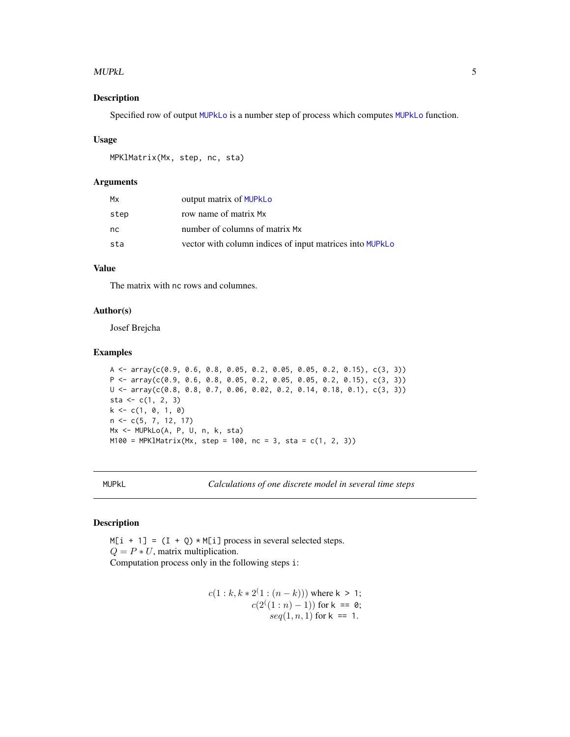#### <span id="page-4-0"></span>MUPkL 5

## Description

Specified row of output [MUPkLo](#page-6-1) is a number step of process which computes [MUPkLo](#page-6-1) function.

#### Usage

```
MPKlMatrix(Mx, step, nc, sta)
```
#### Arguments

| Мx   | output matrix of MUPkLo                                  |
|------|----------------------------------------------------------|
| step | row name of matrix Mx                                    |
| nc   | number of columns of matrix Mx                           |
| sta  | vector with column indices of input matrices into MUPkLo |

## Value

The matrix with nc rows and columnes.

## Author(s)

Josef Brejcha

## Examples

```
A \leq array(c(0.9, 0.6, 0.8, 0.05, 0.2, 0.05, 0.05, 0.2, 0.15), c(3, 3))
P \leftarrow \text{array}(c(0.9, 0.6, 0.8, 0.05, 0.2, 0.05, 0.2, 0.15), c(3, 3))U \leq -\arctan(C(0.8, 0.8, 0.7, 0.06, 0.02, 0.2, 0.14, 0.18, 0.1), \nc(3, 3))sta <- c(1, 2, 3)k \leq c(1, 0, 1, 0)n <- c(5, 7, 12, 17)
Mx <- MUPkLo(A, P, U, n, k, sta)
M100 = MPK1Matrix(Mx, step = 100, nc = 3, sta = c(1, 2, 3))
```
MUPkL *Calculations of one discrete model in several time steps*

#### Description

 $M[i + 1] = (I + Q) * M[i]$  process in several selected steps.  $Q = P * U$ , matrix multiplication. Computation process only in the following steps i:

$$
c(1:k, k * 2(1): (n - k))) where k > 1;c(2(1): n) - 1)) for k == 0;seq(1, n, 1) for k == 1.
$$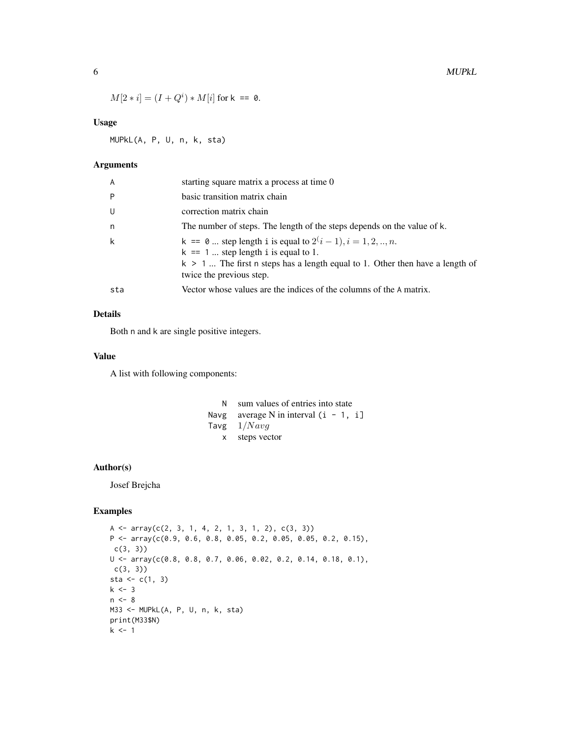$$
M[2 * i] = (I + Qi) * M[i]
$$
 for k = = 0.

## Usage

MUPkL(A, P, U, n, k, sta)

## Arguments

| A   | starting square matrix a process at time 0                                                                                                                                                                               |
|-----|--------------------------------------------------------------------------------------------------------------------------------------------------------------------------------------------------------------------------|
| Þ   | basic transition matrix chain                                                                                                                                                                                            |
| U   | correction matrix chain                                                                                                                                                                                                  |
| n   | The number of steps. The length of the steps depends on the value of k.                                                                                                                                                  |
| k   | $k = 0$ step length i is equal to $2^{i} - 1$ , $i = 1, 2, , n$ .<br>$k == 1$ step length i is equal to 1.<br>$k > 1$ The first n steps has a length equal to 1. Other then have a length of<br>twice the previous step. |
| sta | Vector whose values are the indices of the columns of the A matrix.                                                                                                                                                      |

## Details

Both n and k are single positive integers.

## Value

A list with following components:

| N. | sum values of entries into state        |
|----|-----------------------------------------|
|    | Navg average N in interval $(i - 1, i]$ |
|    | Tavg $1/Navg$                           |
|    | x steps vector                          |

#### Author(s)

Josef Brejcha

## Examples

```
A \leftarrow array(c(2, 3, 1, 4, 2, 1, 3, 1, 2), c(3, 3))P <- array(c(0.9, 0.6, 0.8, 0.05, 0.2, 0.05, 0.05, 0.2, 0.15),
c(3, 3))
U \leq -\arctan(C(0.8, 0.8, 0.7, 0.06, 0.02, 0.2, 0.14, 0.18, 0.1),c(3, 3)sta <- c(1, 3)k \le -3n < - 8M33 <- MUPkL(A, P, U, n, k, sta)
print(M33$N)
k \leq -1
```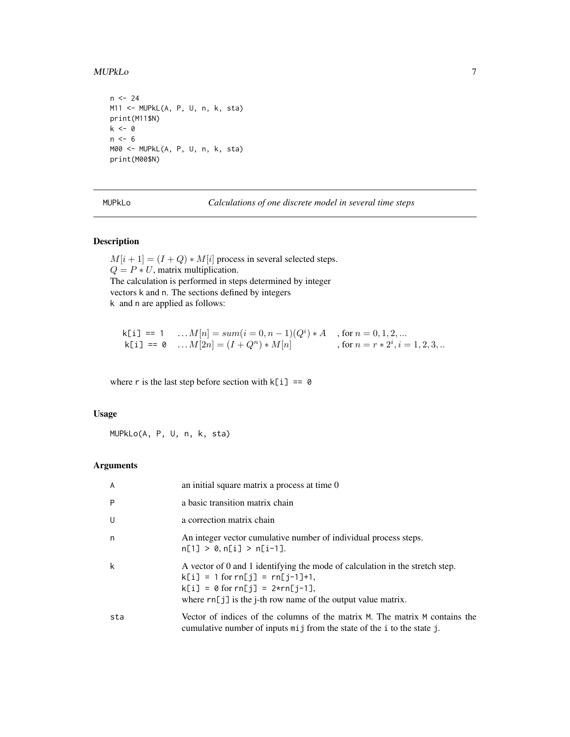#### <span id="page-6-0"></span>MUPkLo 7

```
n < - 24M11 <- MUPkL(A, P, U, n, k, sta)
print(M11$N)
k <- 0
n \le -6M00 <- MUPkL(A, P, U, n, k, sta)
print(M00$N)
```
<span id="page-6-1"></span>MUPkLo *Calculations of one discrete model in several time steps*

## Description

 $M[i + 1] = (I + Q) * M[i]$  process in several selected steps.  $Q = P * U$ , matrix multiplication. The calculation is performed in steps determined by integer vectors k and n. The sections defined by integers k and n are applied as follows:

$$
\begin{array}{llll} \tiny \textsf{k[i]} == 1 & \ldots M[n] = sum(i = 0, n - 1)(Q^i) * A & \textsf{, for } n = 0, 1, 2, \ldots \\ \tiny \textsf{k[i]} == 0 & \ldots M[2n] = (I + Q^n) * M[n] & \textsf{, for } n = r * 2^i, i = 1, 2, 3, \ldots \end{array}
$$

where r is the last step before section with  $k[i]$  == 0

## Usage

MUPkLo(A, P, U, n, k, sta)

## Arguments

| $\overline{A}$ | an initial square matrix a process at time 0                                                                                                                                                                                         |
|----------------|--------------------------------------------------------------------------------------------------------------------------------------------------------------------------------------------------------------------------------------|
| P              | a basic transition matrix chain                                                                                                                                                                                                      |
| U              | a correction matrix chain                                                                                                                                                                                                            |
| n              | An integer vector cumulative number of individual process steps.<br>$n[1] > 0, n[i] > n[i-1].$                                                                                                                                       |
| k              | A vector of 0 and 1 identifying the mode of calculation in the stretch step.<br>$k[i] = 1$ for $rn[j] = rn[j-1]+1$ ,<br>$k[i] = 0$ for $rn[i] = 2 \star rn[i-1]$ ,<br>where $rn[j]$ is the j-th row name of the output value matrix. |
| sta            | Vector of indices of the columns of the matrix M. The matrix M contains the<br>cumulative number of inputs mij from the state of the i to the state j.                                                                               |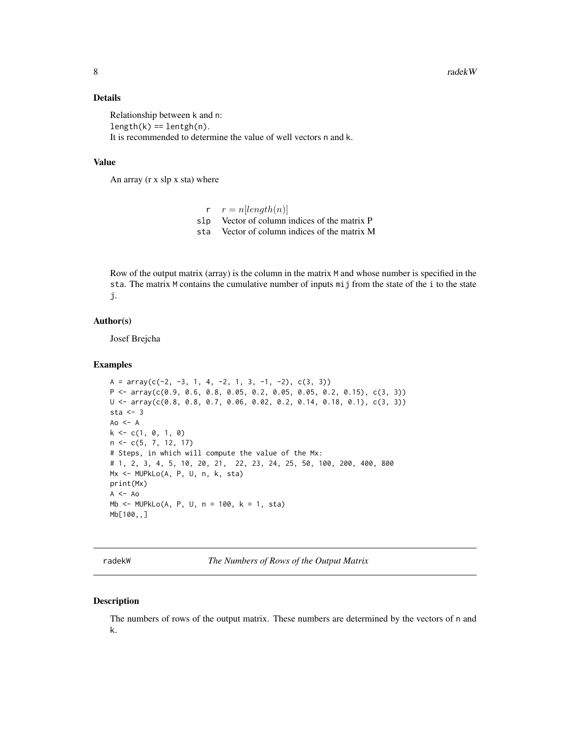## <span id="page-7-0"></span>Details

Relationship between k and n:  $length(k) == length(n)$ . It is recommended to determine the value of well vectors n and k.

#### Value

An array (r x slp x sta) where

 $r \quad r = n[length(n)]$ slp Vector of column indices of the matrix P sta Vector of column indices of the matrix M

Row of the output matrix (array) is the column in the matrix M and whose number is specified in the sta. The matrix M contains the cumulative number of inputs mij from the state of the i to the state j.

#### Author(s)

Josef Brejcha

#### Examples

```
A = array(c(-2, -3, 1, 4, -2, 1, 3, -1, -2), c(3, 3))P \leq -array(c(0.9, 0.6, 0.8, 0.05, 0.2, 0.05, 0.05, 0.2, 0.15), c(3, 3))U \leq -\arctan(C(0.8, 0.8, 0.7, 0.06, 0.02, 0.2, 0.14, 0.18, 0.1), \nc(3, 3))sta <-3A_0 <- Ak \leq c(1, 0, 1, 0)n <- c(5, 7, 12, 17)
# Steps, in which will compute the value of the Mx:
# 1, 2, 3, 4, 5, 10, 20, 21, 22, 23, 24, 25, 50, 100, 200, 400, 800
Mx <- MUPkLo(A, P, U, n, k, sta)
print(Mx)
A \le - Ao
Mb <- MUPkLo(A, P, U, n = 100, k = 1, sta)
Mb[100,,]
```
radekW *The Numbers of Rows of the Output Matrix*

#### Description

The numbers of rows of the output matrix. These numbers are determined by the vectors of n and k.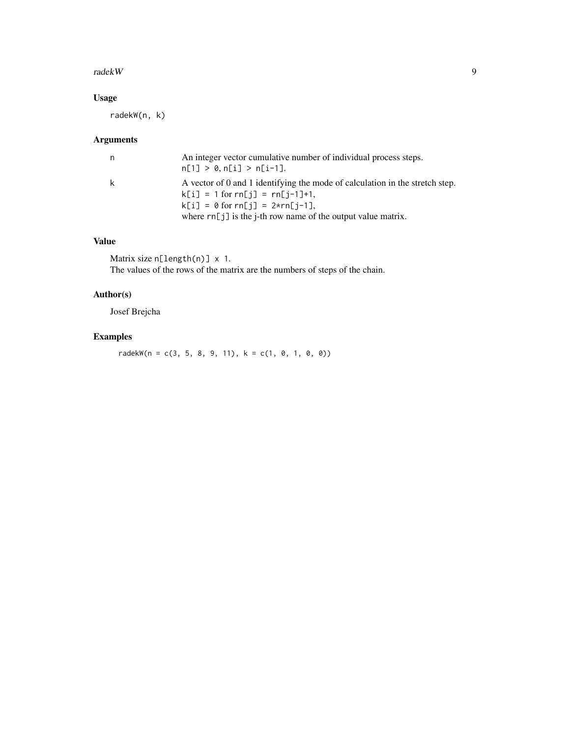#### radekW 9

## Usage

radekW(n, k)

## Arguments

| n. | An integer vector cumulative number of individual process steps.<br>$n[1] > 0, n[i] > n[i-1].$                                                                                                                                       |
|----|--------------------------------------------------------------------------------------------------------------------------------------------------------------------------------------------------------------------------------------|
| k  | A vector of 0 and 1 identifying the mode of calculation in the stretch step.<br>$k[i] = 1$ for $rn[i] = rn[i-1]+1$ ,<br>$k[i] = 0$ for $rn[i] = 2 \star rn[i-1]$ ,<br>where $rn[j]$ is the j-th row name of the output value matrix. |

## Value

Matrix size n[length(n)] x 1. The values of the rows of the matrix are the numbers of steps of the chain.

## Author(s)

Josef Brejcha

## Examples

radekW(n = c(3, 5, 8, 9, 11),  $k = c(1, 0, 1, 0, 0)$